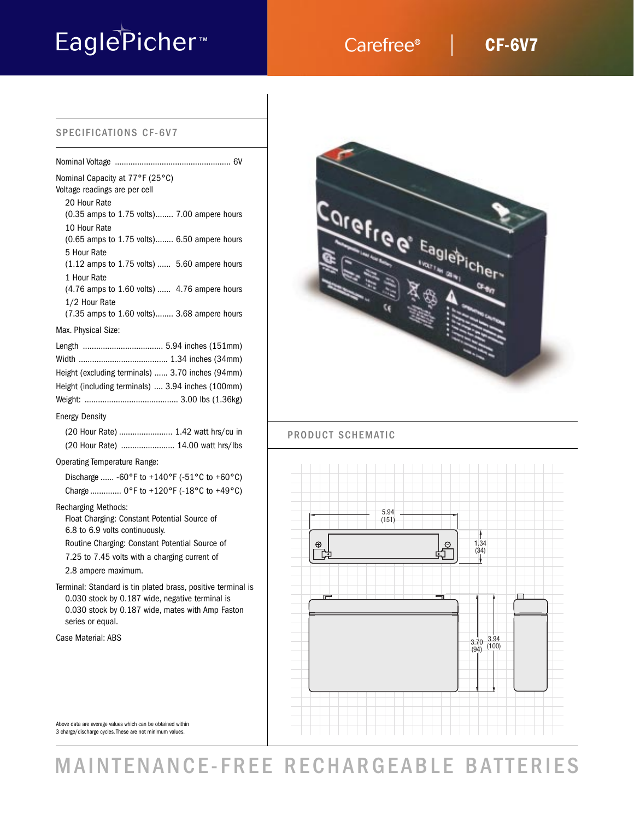# EaglePicher<sup>™</sup> Carefree®

## **CF-6V7**

#### SPECIFICATIONS CF-6V7

| Nominal Capacity at 77°F (25°C)<br>Voltage readings are per cell<br>20 Hour Rate                                                                                                        |
|-----------------------------------------------------------------------------------------------------------------------------------------------------------------------------------------|
| (0.35 amps to 1.75 volts) 7.00 ampere hours                                                                                                                                             |
| 10 Hour Rate<br>(0.65 amps to 1.75 volts) 6.50 ampere hours<br>5 Hour Rate                                                                                                              |
| (1.12 amps to 1.75 volts)  5.60 ampere hours<br>1 Hour Rate                                                                                                                             |
| (4.76 amps to 1.60 volts)  4.76 ampere hours<br>1/2 Hour Rate                                                                                                                           |
| (7.35 amps to 1.60 volts) 3.68 ampere hours                                                                                                                                             |
| Max. Physical Size:                                                                                                                                                                     |
|                                                                                                                                                                                         |
|                                                                                                                                                                                         |
| Height (excluding terminals)  3.70 inches (94mm)                                                                                                                                        |
| Height (including terminals)  3.94 inches (100mm)                                                                                                                                       |
|                                                                                                                                                                                         |
| <b>Energy Density</b>                                                                                                                                                                   |
| (20 Hour Rate)  1.42 watt hrs/cu in                                                                                                                                                     |
| (20 Hour Rate)  14.00 watt hrs/lbs                                                                                                                                                      |
| Operating Temperature Range:                                                                                                                                                            |
| Discharge  -60°F to +140°F (-51°C to +60°C)                                                                                                                                             |
| Charge  0°F to +120°F (-18°C to +49°C)                                                                                                                                                  |
| <b>Recharging Methods:</b><br>Float Charging: Constant Potential Source of<br>6.8 to 6.9 volts continuously.                                                                            |
| Routine Charging: Constant Potential Source of                                                                                                                                          |
| 7.25 to 7.45 volts with a charging current of                                                                                                                                           |
| 2.8 ampere maximum.                                                                                                                                                                     |
| Terminal: Standard is tin plated brass, positive terminal is<br>0.030 stock by 0.187 wide, negative terminal is<br>0.030 stock by 0.187 wide, mates with Amp Faston<br>series or equal. |
| Case Material: ABS                                                                                                                                                                      |



### PRODUCT SCHEMATIC



Above data are average values which can be obtained within 3 charge/discharge cycles. These are not minimum values.

## MAINTENANCE-FREE RECHARGEABLE BATTERIES